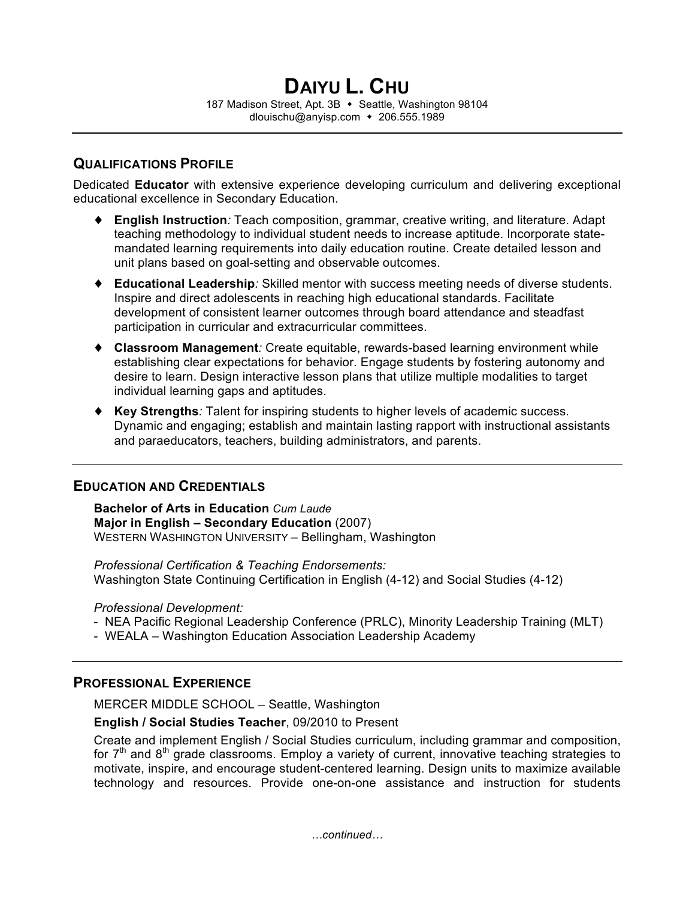# **QUALIFICATIONS PROFILE**

Dedicated **Educator** with extensive experience developing curriculum and delivering exceptional educational excellence in Secondary Education.

- ♦ **English Instruction***:* Teach composition, grammar, creative writing, and literature. Adapt teaching methodology to individual student needs to increase aptitude. Incorporate statemandated learning requirements into daily education routine. Create detailed lesson and unit plans based on goal-setting and observable outcomes.
- ♦ **Educational Leadership***:* Skilled mentor with success meeting needs of diverse students. Inspire and direct adolescents in reaching high educational standards. Facilitate development of consistent learner outcomes through board attendance and steadfast participation in curricular and extracurricular committees.
- ♦ **Classroom Management***:* Create equitable, rewards-based learning environment while establishing clear expectations for behavior. Engage students by fostering autonomy and desire to learn. Design interactive lesson plans that utilize multiple modalities to target individual learning gaps and aptitudes.
- ♦ **Key Strengths***:* Talent for inspiring students to higher levels of academic success. Dynamic and engaging; establish and maintain lasting rapport with instructional assistants and paraeducators, teachers, building administrators, and parents.

## **EDUCATION AND CREDENTIALS**

**Bachelor of Arts in Education** *Cum Laude* **Major in English – Secondary Education** (2007) WESTERN WASHINGTON UNIVERSITY – Bellingham, Washington

*Professional Certification & Teaching Endorsements:* Washington State Continuing Certification in English (4-12) and Social Studies (4-12)

*Professional Development:*

- NEA Pacific Regional Leadership Conference (PRLC), Minority Leadership Training (MLT)
- WEALA Washington Education Association Leadership Academy

## **PROFESSIONAL EXPERIENCE**

MERCER MIDDLE SCHOOL – Seattle, Washington

### **English / Social Studies Teacher**, 09/2010 to Present

Create and implement English / Social Studies curriculum, including grammar and composition, for  $7<sup>th</sup>$  and  $8<sup>th</sup>$  grade classrooms. Employ a variety of current, innovative teaching strategies to motivate, inspire, and encourage student-centered learning. Design units to maximize available technology and resources. Provide one-on-one assistance and instruction for students